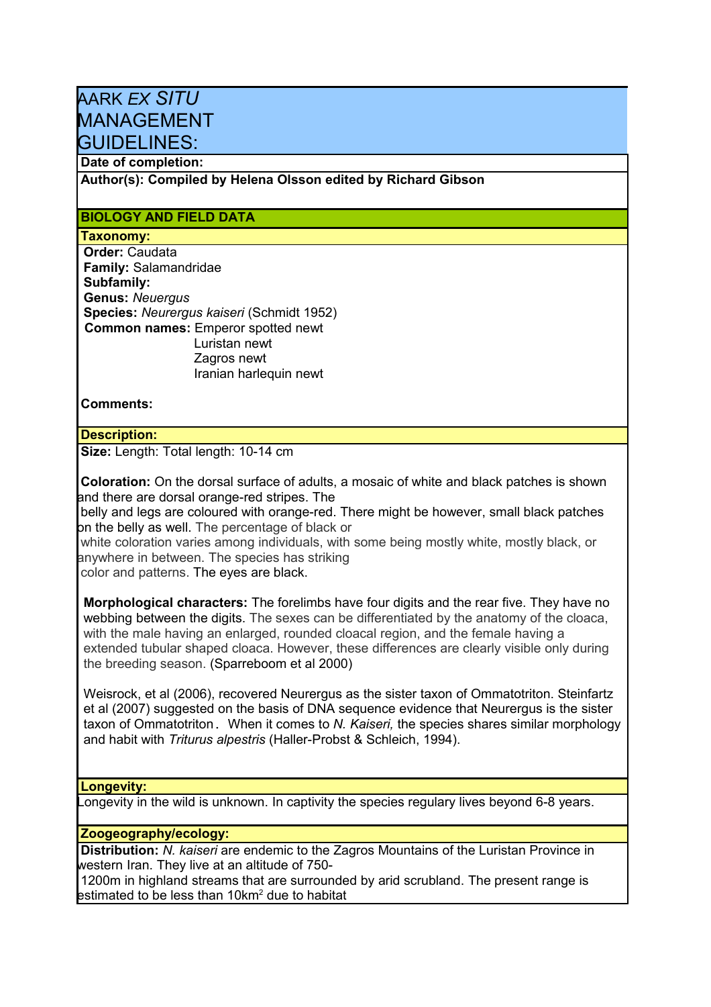# AARK *EX SITU* MANAGEMENT GUIDELINES:

# **Date of completion:**

**Author(s): Compiled by Helena Olsson edited by Richard Gibson**

# **BIOLOGY AND FIELD DATA**

# **Taxonomy:**

**Order:** Caudata **Family:** Salamandridae **Subfamily: Genus:** *Neuergus* **Species:** *Neurergus kaiseri* (Schmidt 1952)  **Common names:** Emperor spotted newt Luristan newt Zagros newt Iranian harlequin newt

 **Comments:**

#### **Description:**

**Size:** Length: Total length: 10-14 cm

**Coloration:** On the dorsal surface of adults, a mosaic of white and black patches is shown and there are dorsal orange-red stripes. The

belly and legs are coloured with orange-red. There might be however, small black patches on the belly as well. The percentage of black or

 white coloration varies among individuals, with some being mostly white, mostly black, or anywhere in between. The species has striking

color and patterns. The eyes are black.

**Morphological characters:** The forelimbs have four digits and the rear five. They have no webbing between the digits. The sexes can be differentiated by the anatomy of the cloaca, with the male having an enlarged, rounded cloacal region, and the female having a extended tubular shaped cloaca. However, these differences are clearly visible only during the breeding season. (Sparreboom et al 2000)

Weisrock, et al (2006), recovered Neurergus as the sister taxon of Ommatotriton. Steinfartz et al (2007) suggested on the basis of DNA sequence evidence that Neurergus is the sister taxon of Ommatotriton. When it comes to *N. Kaiseri,* the species shares similar morphology and habit with *Triturus alpestris* (Haller-Probst & Schleich, 1994).

#### **Longevity:**

Longevity in the wild is unknown. In captivity the species regulary lives beyond 6-8 years.

#### **Zoogeography/ecology:**

**Distribution:** *N. kaiseri* are endemic to the Zagros Mountains of the Luristan Province in western Iran. They live at an altitude of 750-

1200m in highland streams that are surrounded by arid scrubland. The present range is estimated to be less than 10km<sup>2</sup> due to habitat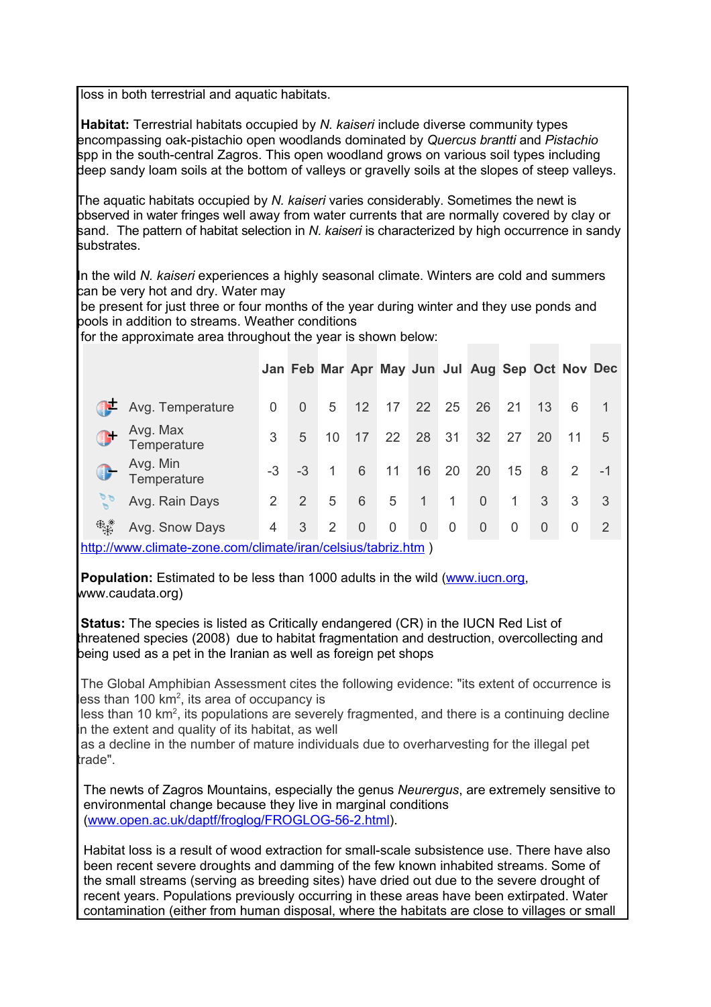loss in both terrestrial and aquatic habitats.

**Habitat:** Terrestrial habitats occupied by *N. kaiseri* include diverse community types encompassing oak-pistachio open woodlands dominated by *Quercus brantti* and *Pistachio* spp in the south-central Zagros. This open woodland grows on various soil types including deep sandy loam soils at the bottom of valleys or gravelly soils at the slopes of steep valleys.

The aquatic habitats occupied by *N. kaiseri* varies considerably. Sometimes the newt is observed in water fringes well away from water currents that are normally covered by clay or sand. The pattern of habitat selection in *N. kaiseri* is characterized by high occurrence in sandy substrates.

In the wild *N. kaiseri* experiences a highly seasonal climate. Winters are cold and summers can be very hot and dry. Water may

be present for just three or four months of the year during winter and they use ponds and pools in addition to streams. Weather conditions

for the approximate area throughout the year is shown below:

|    |                         |                |          |    |                |    |                |    | Jan Feb Mar Apr May Jun Jul Aug Sep Oct Nov Dec |    |                |    |               |
|----|-------------------------|----------------|----------|----|----------------|----|----------------|----|-------------------------------------------------|----|----------------|----|---------------|
|    | Avg. Temperature        | $\Omega$       | $\Omega$ | 5  | 12             | 17 | 22             | 25 | 26                                              | 21 | 13             | 6  | 1             |
|    | Avg. Max<br>Temperature | 3              | 5        | 10 | 17             | 22 | 28             | 31 | 32                                              | 27 | 20             | 11 | 5             |
|    | Avg. Min<br>Temperature | $-3$           | $-3$     | 1  | 6              | 11 | 16             | 20 | 20                                              | 15 | 8              | 2  | $-1$          |
|    | Avg. Rain Days          | 2              | 2        | 5  | 6              | 5  | $\mathbf{1}$   | 1  | $\overline{0}$                                  | 1  | 3              | 3  | 3             |
| 風彩 | Avg. Snow Days          | $\overline{4}$ | 3        | 2  | $\overline{0}$ | 0  | $\overline{0}$ | 0  | 0                                               | 0  | $\overline{0}$ | 0  | $\mathcal{P}$ |

<http://www.climate-zone.com/climate/iran/celsius/tabriz.htm>)

**Population:** Estimated to be less than 1000 adults in the wild [\(www.iucn.org,](http://www.iucn.org/) www.caudata.org)

**Status:** The species is listed as Critically endangered (CR) in the IUCN Red List of threatened species (2008) due to habitat fragmentation and destruction, overcollecting and being used as a pet in the Iranian as well as foreign pet shops

 The Global Amphibian Assessment cites the following evidence: "its extent of occurrence is less than 100 km<sup>2</sup>, its area of occupancy is

less than 10 km<sup>2</sup>, its populations are severely fragmented, and there is a continuing decline in the extent and quality of its habitat, as well

 as a decline in the number of mature individuals due to overharvesting for the illegal pet trade".

The newts of Zagros Mountains, especially the genus *Neurergus*, are extremely sensitive to environmental change because they live in marginal conditions [\(www.open.ac.uk/daptf/froglog/FROGLOG-56-2.html\)](http://www.open.ac.uk/daptf/froglog/FROGLOG-56-2.html).

Habitat loss is a result of wood extraction for small-scale subsistence use. There have also been recent severe droughts and damming of the few known inhabited streams. Some of the small streams (serving as breeding sites) have dried out due to the severe drought of recent years. Populations previously occurring in these areas have been extirpated. Water contamination (either from human disposal, where the habitats are close to villages or small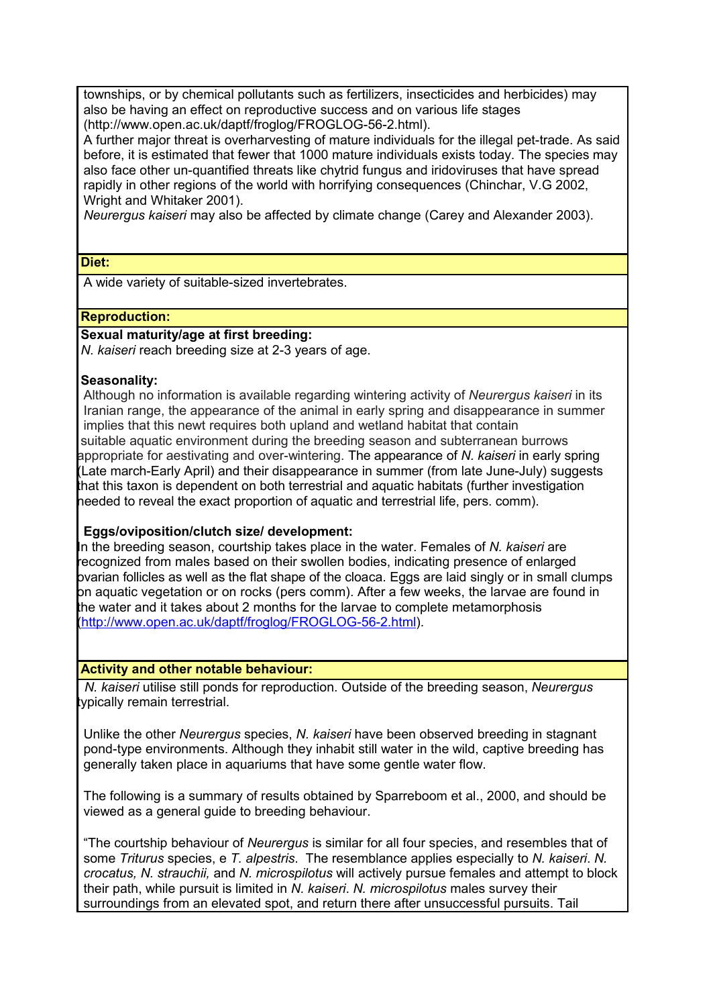townships, or by chemical pollutants such as fertilizers, insecticides and herbicides) may also be having an effect on reproductive success and on various life stages (http://www.open.ac.uk/daptf/froglog/FROGLOG-56-2.html).

A further major threat is overharvesting of mature individuals for the illegal pet-trade. As said before, it is estimated that fewer that 1000 mature individuals exists today. The species may also face other un-quantified threats like chytrid fungus and iridoviruses that have spread rapidly in other regions of the world with horrifying consequences (Chinchar, V.G 2002, Wright and Whitaker 2001).

*Neurergus kaiseri* may also be affected by climate change (Carey and Alexander 2003).

#### **Diet:**

A wide variety of suitable-sized invertebrates.

# **Reproduction:**

**Sexual maturity/age at first breeding:**

 *N. kaiseri* reach breeding size at 2-3 years of age.

#### **Seasonality:**

Although no information is available regarding wintering activity of *Neurergus kaiseri* in its Iranian range, the appearance of the animal in early spring and disappearance in summer implies that this newt requires both upland and wetland habitat that contain suitable aquatic environment during the breeding season and subterranean burrows appropriate for aestivating and over-wintering. The appearance of *N. kaiseri* in early spring (Late march-Early April) and their disappearance in summer (from late June-July) suggests that this taxon is dependent on both terrestrial and aquatic habitats (further investigation needed to reveal the exact proportion of aquatic and terrestrial life, pers. comm).

# **Eggs/oviposition/clutch size/ development:**

In the breeding season, courtship takes place in the water. Females of *N. kaiseri* are recognized from males based on their swollen bodies, indicating presence of enlarged ovarian follicles as well as the flat shape of the cloaca. Eggs are laid singly or in small clumps on aquatic vegetation or on rocks (pers comm). After a few weeks, the larvae are found in the water and it takes about 2 months for the larvae to complete metamorphosis [\(http://www.open.ac.uk/daptf/froglog/FROGLOG-56-2.html\)](http://www.open.ac.uk/daptf/froglog/FROGLOG-56-2.html).

# **Activity and other notable behaviour:**

 *N. kaiseri* utilise still ponds for reproduction. Outside of the breeding season, *Neurergus* typically remain terrestrial.

Unlike the other *Neurergus* species, *N. kaiseri* have been observed breeding in stagnant pond-type environments. Although they inhabit still water in the wild, captive breeding has generally taken place in aquariums that have some gentle water flow.

The following is a summary of results obtained by Sparreboom et al., 2000, and should be viewed as a general guide to breeding behaviour.

"The courtship behaviour of *Neurergus* is similar for all four species, and resembles that of some *Triturus* species, e *T. alpestris*. The resemblance applies especially to *N. kaiseri*. *N. crocatus, N. strauchii,* and *N. microspilotus* will actively pursue females and attempt to block their path, while pursuit is limited in *N. kaiseri*. *N. microspilotus* males survey their surroundings from an elevated spot, and return there after unsuccessful pursuits. Tail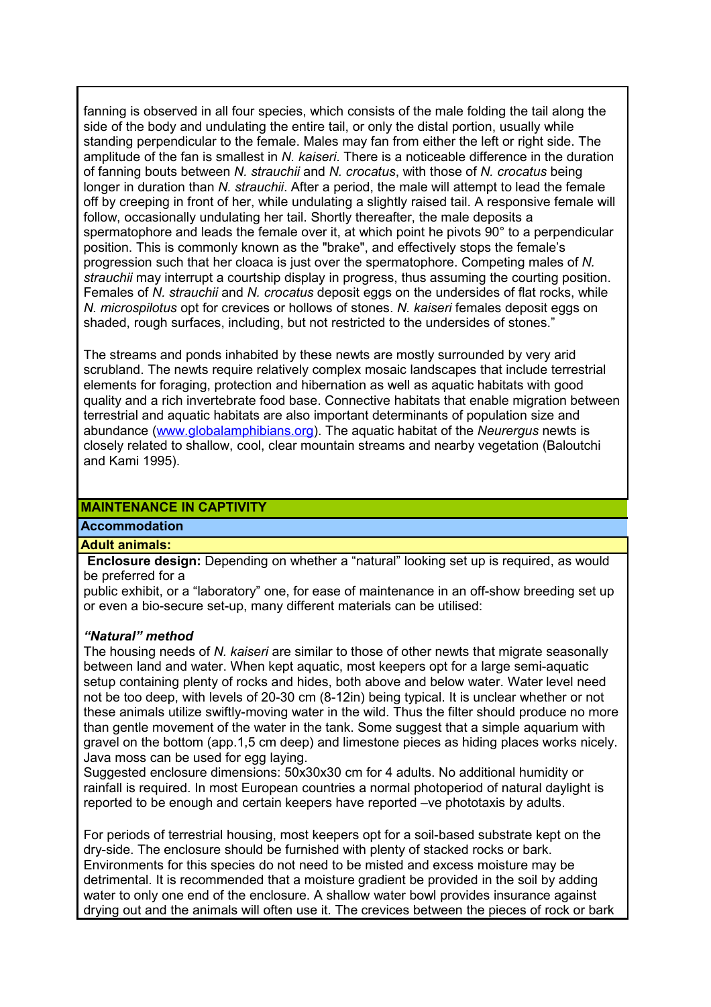fanning is observed in all four species, which consists of the male folding the tail along the side of the body and undulating the entire tail, or only the distal portion, usually while standing perpendicular to the female. Males may fan from either the left or right side. The amplitude of the fan is smallest in *N. kaiseri*. There is a noticeable difference in the duration of fanning bouts between *N. strauchii* and *N. crocatus*, with those of *N. crocatus* being longer in duration than *N. strauchii*. After a period, the male will attempt to lead the female off by creeping in front of her, while undulating a slightly raised tail. A responsive female will follow, occasionally undulating her tail. Shortly thereafter, the male deposits a spermatophore and leads the female over it, at which point he pivots 90° to a perpendicular position. This is commonly known as the "brake", and effectively stops the female's progression such that her cloaca is just over the spermatophore. Competing males of *N. strauchii* may interrupt a courtship display in progress, thus assuming the courting position. Females of *N. strauchii* and *N. crocatus* deposit eggs on the undersides of flat rocks, while *N. microspilotus* opt for crevices or hollows of stones. *N. kaiseri* females deposit eggs on shaded, rough surfaces, including, but not restricted to the undersides of stones."

The streams and ponds inhabited by these newts are mostly surrounded by very arid scrubland. The newts require relatively complex mosaic landscapes that include terrestrial elements for foraging, protection and hibernation as well as aquatic habitats with good quality and a rich invertebrate food base. Connective habitats that enable migration between terrestrial and aquatic habitats are also important determinants of population size and abundance [\(www.globalamphibians.org\)](http://www.globalamphibians.org/). The aquatic habitat of the *Neurergus* newts is closely related to shallow, cool, clear mountain streams and nearby vegetation (Baloutchi and Kami 1995).

# **MAINTENANCE IN CAPTIVITY**

# **Accommodation**

#### **Adult animals:**

**Enclosure design:** Depending on whether a "natural" looking set up is required, as would be preferred for a

public exhibit, or a "laboratory" one, for ease of maintenance in an off-show breeding set up or even a bio-secure set-up, many different materials can be utilised:

#### *"Natural" method*

The housing needs of *N. kaiseri* are similar to those of other newts that migrate seasonally between land and water. When kept aquatic, most keepers opt for a large semi-aquatic setup containing plenty of rocks and hides, both above and below water. Water level need not be too deep, with levels of 20-30 cm (8-12in) being typical. It is unclear whether or not these animals utilize swiftly-moving water in the wild. Thus the filter should produce no more than gentle movement of the water in the tank. Some suggest that a simple aquarium with gravel on the bottom (app.1,5 cm deep) and limestone pieces as hiding places works nicely. Java moss can be used for egg laying.

Suggested enclosure dimensions: 50x30x30 cm for 4 adults. No additional humidity or rainfall is required. In most European countries a normal photoperiod of natural daylight is reported to be enough and certain keepers have reported –ve phototaxis by adults.

For periods of terrestrial housing, most keepers opt for a soil-based substrate kept on the dry-side. The enclosure should be furnished with plenty of stacked rocks or bark. Environments for this species do not need to be misted and excess moisture may be detrimental. It is recommended that a moisture gradient be provided in the soil by adding water to only one end of the enclosure. A shallow water bowl provides insurance against drying out and the animals will often use it. The crevices between the pieces of rock or bark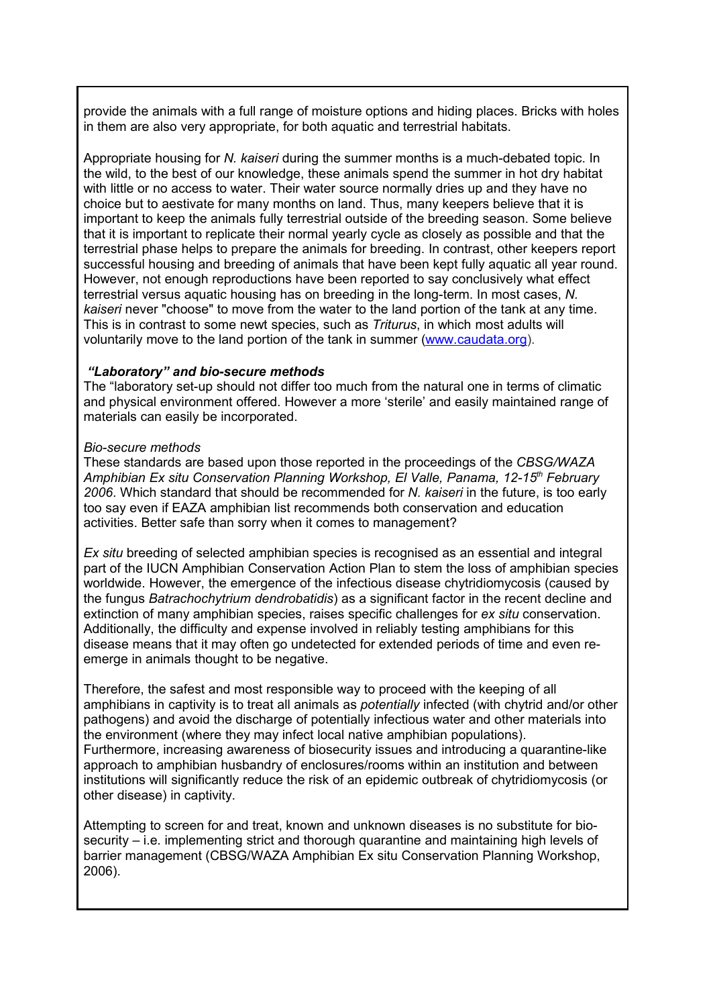provide the animals with a full range of moisture options and hiding places. Bricks with holes in them are also very appropriate, for both aquatic and terrestrial habitats.

Appropriate housing for *N. kaiseri* during the summer months is a much-debated topic. In the wild, to the best of our knowledge, these animals spend the summer in hot dry habitat with little or no access to water. Their water source normally dries up and they have no choice but to aestivate for many months on land. Thus, many keepers believe that it is important to keep the animals fully terrestrial outside of the breeding season. Some believe that it is important to replicate their normal yearly cycle as closely as possible and that the terrestrial phase helps to prepare the animals for breeding. In contrast, other keepers report successful housing and breeding of animals that have been kept fully aquatic all year round. However, not enough reproductions have been reported to say conclusively what effect terrestrial versus aquatic housing has on breeding in the long-term. In most cases, *N. kaiseri* never "choose" to move from the water to the land portion of the tank at any time. This is in contrast to some newt species, such as *Triturus*, in which most adults will voluntarily move to the land portion of the tank in summer [\(www.caudata.org\)](http://www.caudata.org/).

#### *"Laboratory" and bio-secure methods*

The "laboratory set-up should not differ too much from the natural one in terms of climatic and physical environment offered. However a more 'sterile' and easily maintained range of materials can easily be incorporated.

#### *Bio-secure methods*

These standards are based upon those reported in the proceedings of the *CBSG/WAZA Amphibian Ex situ Conservation Planning Workshop, El Valle, Panama, 12-15th February 2006*. Which standard that should be recommended for *N. kaiseri* in the future, is too early too say even if EAZA amphibian list recommends both conservation and education activities. Better safe than sorry when it comes to management?

*Ex situ* breeding of selected amphibian species is recognised as an essential and integral part of the IUCN Amphibian Conservation Action Plan to stem the loss of amphibian species worldwide. However, the emergence of the infectious disease chytridiomycosis (caused by the fungus *Batrachochytrium dendrobatidis*) as a significant factor in the recent decline and extinction of many amphibian species, raises specific challenges for *ex situ* conservation. Additionally, the difficulty and expense involved in reliably testing amphibians for this disease means that it may often go undetected for extended periods of time and even reemerge in animals thought to be negative.

Therefore, the safest and most responsible way to proceed with the keeping of all amphibians in captivity is to treat all animals as *potentially* infected (with chytrid and/or other pathogens) and avoid the discharge of potentially infectious water and other materials into the environment (where they may infect local native amphibian populations). Furthermore, increasing awareness of biosecurity issues and introducing a quarantine-like approach to amphibian husbandry of enclosures/rooms within an institution and between institutions will significantly reduce the risk of an epidemic outbreak of chytridiomycosis (or other disease) in captivity.

Attempting to screen for and treat, known and unknown diseases is no substitute for biosecurity – i.e. implementing strict and thorough quarantine and maintaining high levels of barrier management (CBSG/WAZA Amphibian Ex situ Conservation Planning Workshop, 2006).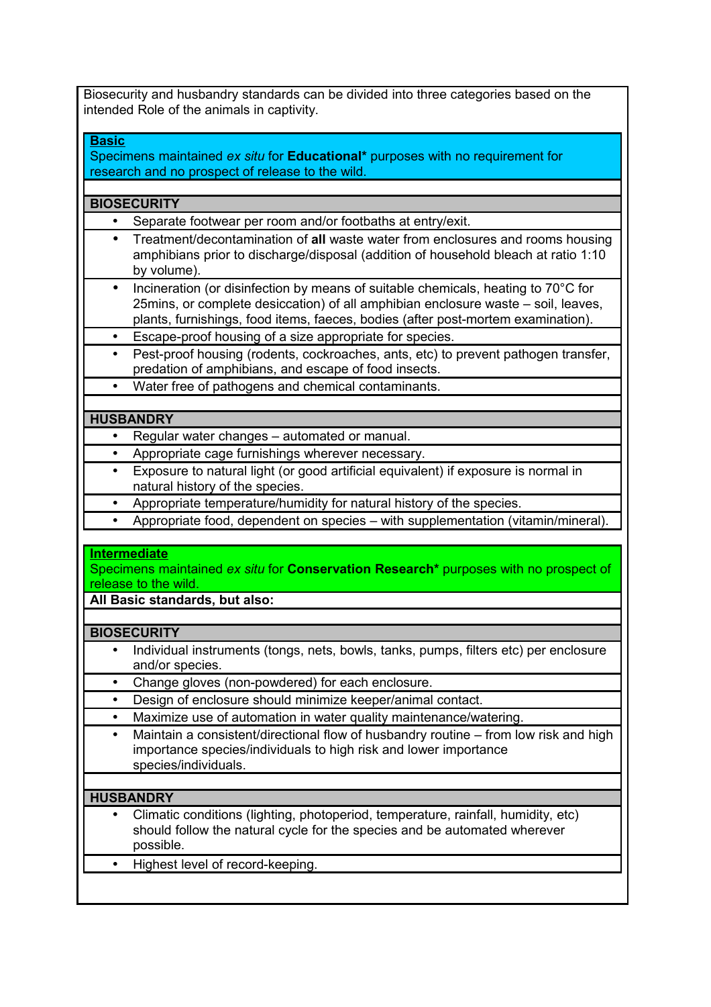Biosecurity and husbandry standards can be divided into three categories based on the intended Role of the animals in captivity.

**Basic**

Specimens maintained *ex situ* for **Educational\*** purposes with no requirement for research and no prospect of release to the wild.

# **BIOSECURITY**

- Separate footwear per room and/or footbaths at entry/exit.
- Treatment/decontamination of **all** waste water from enclosures and rooms housing amphibians prior to discharge/disposal (addition of household bleach at ratio 1:10 by volume).
- Incineration (or disinfection by means of suitable chemicals, heating to 70°C for 25mins, or complete desiccation) of all amphibian enclosure waste – soil, leaves, plants, furnishings, food items, faeces, bodies (after post-mortem examination).
- Escape-proof housing of a size appropriate for species.
- Pest-proof housing (rodents, cockroaches, ants, etc) to prevent pathogen transfer, predation of amphibians, and escape of food insects.
- Water free of pathogens and chemical contaminants.

# **HUSBANDRY**

- Regular water changes automated or manual.
- Appropriate cage furnishings wherever necessary.
- Exposure to natural light (or good artificial equivalent) if exposure is normal in natural history of the species.
- Appropriate temperature/humidity for natural history of the species.
- Appropriate food, dependent on species with supplementation (vitamin/mineral).

# **Intermediate**

Specimens maintained *ex situ* for **Conservation Research\*** purposes with no prospect of release to the wild.

**All Basic standards, but also:**

# **BIOSECURITY**

- Individual instruments (tongs, nets, bowls, tanks, pumps, filters etc) per enclosure and/or species.
- Change gloves (non-powdered) for each enclosure.
- Design of enclosure should minimize keeper/animal contact.
- Maximize use of automation in water quality maintenance/watering.
- Maintain a consistent/directional flow of husbandry routine from low risk and high importance species/individuals to high risk and lower importance species/individuals.

# **HUSBANDRY**

- Climatic conditions (lighting, photoperiod, temperature, rainfall, humidity, etc) should follow the natural cycle for the species and be automated wherever possible.
- Highest level of record-keeping.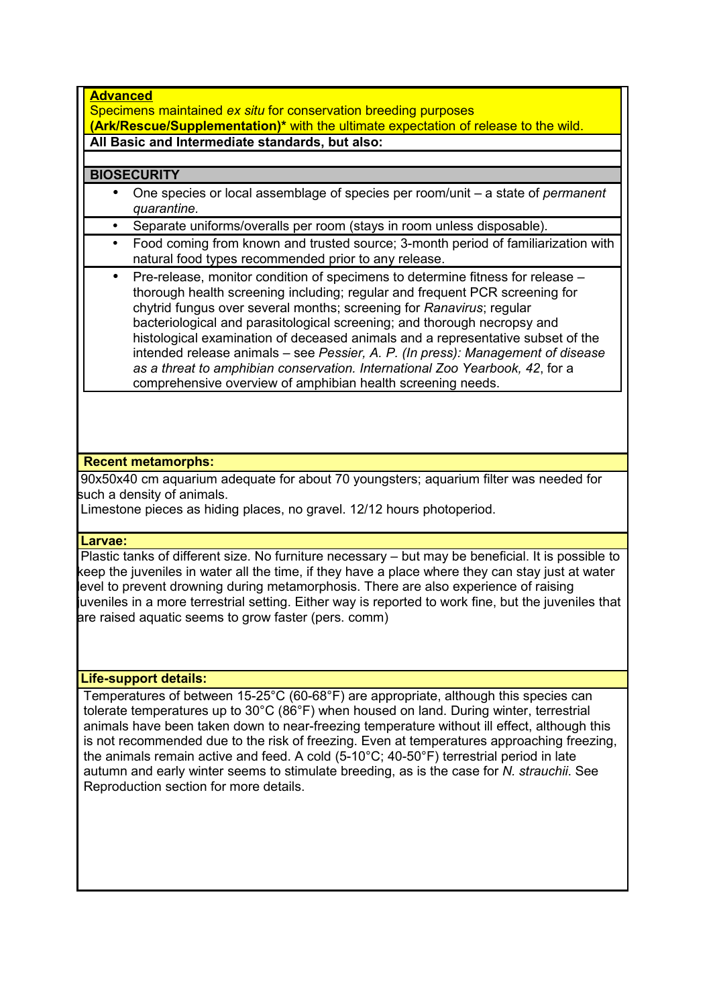#### **Advanced**

Specimens maintained *ex situ* for conservation breeding purposes **(Ark/Rescue/Supplementation)\*** with the ultimate expectation of release to the wild. **All Basic and Intermediate standards, but also:**

# **BIOSECURITY**

- One species or local assemblage of species per room/unit a state of *permanent quarantine.*
- Separate uniforms/overalls per room (stays in room unless disposable).
- Food coming from known and trusted source; 3-month period of familiarization with natural food types recommended prior to any release.
- Pre-release, monitor condition of specimens to determine fitness for release thorough health screening including; regular and frequent PCR screening for chytrid fungus over several months; screening for *Ranavirus*; regular bacteriological and parasitological screening; and thorough necropsy and histological examination of deceased animals and a representative subset of the intended release animals – see *Pessier, A. P. (In press): Management of disease as a threat to amphibian conservation. International Zoo Yearbook, 42*, for a comprehensive overview of amphibian health screening needs.

# **Recent metamorphs:**

 90x50x40 cm aquarium adequate for about 70 youngsters; aquarium filter was needed for such a density of animals.

Limestone pieces as hiding places, no gravel. 12/12 hours photoperiod.

# **Larvae:**

Plastic tanks of different size. No furniture necessary – but may be beneficial. It is possible to keep the juveniles in water all the time, if they have a place where they can stay just at water level to prevent drowning during metamorphosis. There are also experience of raising juveniles in a more terrestrial setting. Either way is reported to work fine, but the juveniles that are raised aquatic seems to grow faster (pers. comm)

**Life-support details:**

Temperatures of between 15-25°C (60-68°F) are appropriate, although this species can tolerate temperatures up to 30°C (86°F) when housed on land. During winter, terrestrial animals have been taken down to near-freezing temperature without ill effect, although this is not recommended due to the risk of freezing. Even at temperatures approaching freezing, the animals remain active and feed. A cold (5-10°C; 40-50°F) terrestrial period in late autumn and early winter seems to stimulate breeding, as is the case for *N. strauchii*. See Reproduction section for more details.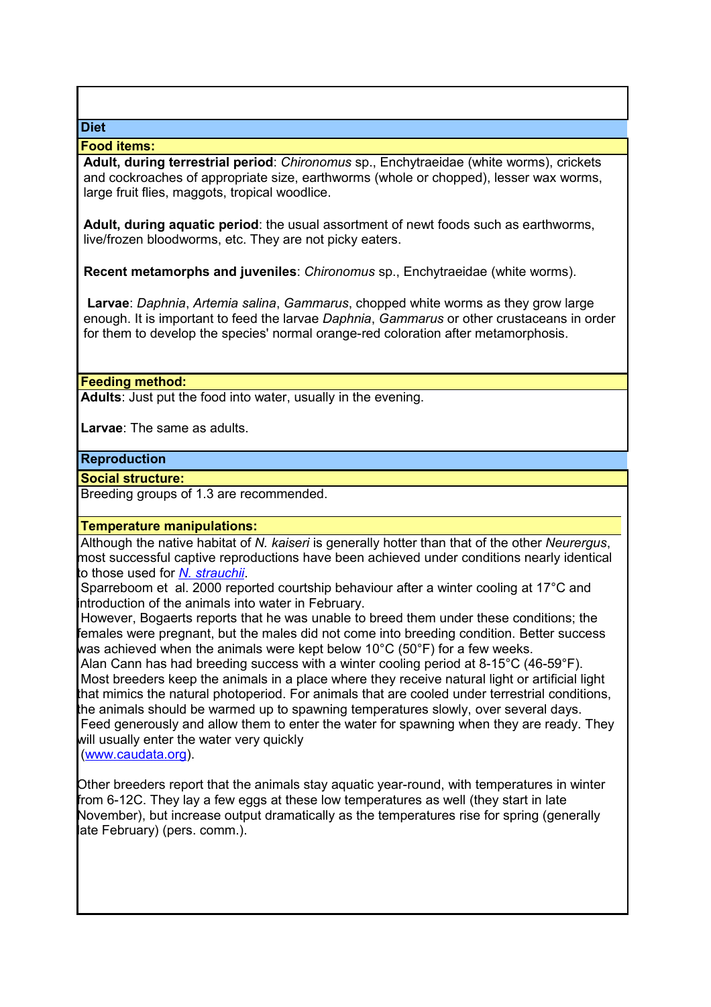#### **Food items:**

**Adult, during terrestrial period**: *Chironomus* sp., Enchytraeidae (white worms), crickets and cockroaches of appropriate size, earthworms (whole or chopped), lesser wax worms, large fruit flies, maggots, tropical woodlice.

**Adult, during aquatic period**: the usual assortment of newt foods such as earthworms, live/frozen bloodworms, etc. They are not picky eaters.

**Recent metamorphs and juveniles**: *Chironomus* sp., Enchytraeidae (white worms).

**Larvae**: *Daphnia*, *Artemia salina*, *Gammarus*, chopped white worms as they grow large enough. It is important to feed the larvae *Daphnia*, *Gammarus* or other crustaceans in order for them to develop the species' normal orange-red coloration after metamorphosis.

#### **Feeding method:**

**Adults**: Just put the food into water, usually in the evening.

**Larvae**: The same as adults.

#### **Reproduction**

**Social structure:**

Breeding groups of 1.3 are recommended.

# **Temperature manipulations:**

Although the native habitat of *N. kaiseri* is generally hotter than that of the other *Neurergus*, most successful captive reproductions have been achieved under conditions nearly identical to those used for *[N. strauchii](http://www.caudata.org/cc/species/Neurergus/N_strauchii.shtml)*.

 Sparreboom et al. 2000 reported courtship behaviour after a winter cooling at 17°C and introduction of the animals into water in February.

 However, Bogaerts reports that he was unable to breed them under these conditions; the females were pregnant, but the males did not come into breeding condition. Better success was achieved when the animals were kept below 10°C (50°F) for a few weeks.

 Alan Cann has had breeding success with a winter cooling period at 8-15°C (46-59°F). Most breeders keep the animals in a place where they receive natural light or artificial light that mimics the natural photoperiod. For animals that are cooled under terrestrial conditions, the animals should be warmed up to spawning temperatures slowly, over several days. Feed generously and allow them to enter the water for spawning when they are ready. They will usually enter the water very quickly

[\(www.caudata.org\)](http://www.caudata.org/).

Other breeders report that the animals stay aquatic year-round, with temperatures in winter from 6-12C. They lay a few eggs at these low temperatures as well (they start in late November), but increase output dramatically as the temperatures rise for spring (generally late February) (pers. comm.).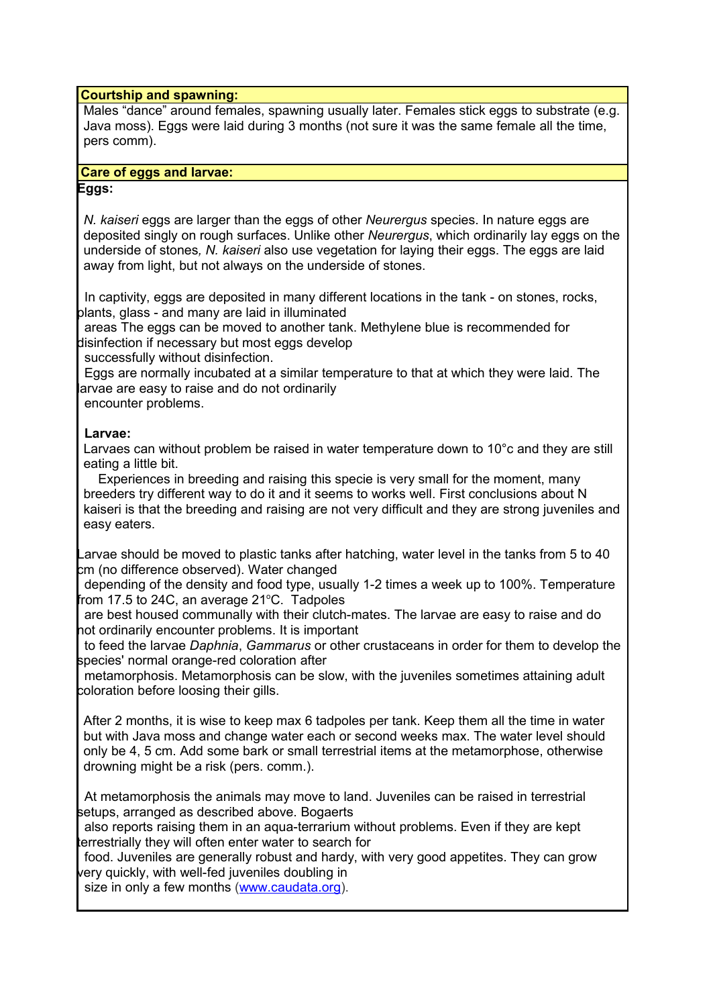#### **Courtship and spawning:**

Males "dance" around females, spawning usually later. Females stick eggs to substrate (e.g. Java moss). Eggs were laid during 3 months (not sure it was the same female all the time, pers comm).

#### **Care of eggs and larvae:**

#### **Eggs:**

*N. kaiseri* eggs are larger than the eggs of other *Neurergus* species. In nature eggs are deposited singly on rough surfaces. Unlike other *Neurergus*, which ordinarily lay eggs on the underside of stones*, N. kaiseri* also use vegetation for laying their eggs. The eggs are laid away from light, but not always on the underside of stones.

 In captivity, eggs are deposited in many different locations in the tank - on stones, rocks, plants, glass - and many are laid in illuminated

 areas The eggs can be moved to another tank. Methylene blue is recommended for disinfection if necessary but most eggs develop

successfully without disinfection.

 Eggs are normally incubated at a similar temperature to that at which they were laid. The larvae are easy to raise and do not ordinarily

encounter problems.

# **Larvae:**

Larvaes can without problem be raised in water temperature down to 10°c and they are still eating a little bit.

 Experiences in breeding and raising this specie is very small for the moment, many breeders try different way to do it and it seems to works well. First conclusions about N kaiseri is that the breeding and raising are not very difficult and they are strong juveniles and easy eaters.

Larvae should be moved to plastic tanks after hatching, water level in the tanks from 5 to 40 cm (no difference observed). Water changed

 depending of the density and food type, usually 1-2 times a week up to 100%. Temperature from 17.5 to 24C, an average 21 $^{\circ}$ C. Tadpoles

 are best housed communally with their clutch-mates. The larvae are easy to raise and do not ordinarily encounter problems. It is important

 to feed the larvae *Daphnia*, *Gammarus* or other crustaceans in order for them to develop the species' normal orange-red coloration after

 metamorphosis. Metamorphosis can be slow, with the juveniles sometimes attaining adult coloration before loosing their gills.

After 2 months, it is wise to keep max 6 tadpoles per tank. Keep them all the time in water but with Java moss and change water each or second weeks max. The water level should only be 4, 5 cm. Add some bark or small terrestrial items at the metamorphose, otherwise drowning might be a risk (pers. comm.).

 At metamorphosis the animals may move to land. Juveniles can be raised in terrestrial setups, arranged as described above. Bogaerts

 also reports raising them in an aqua-terrarium without problems. Even if they are kept terrestrially they will often enter water to search for

 food. Juveniles are generally robust and hardy, with very good appetites. They can grow very quickly, with well-fed juveniles doubling in

size in only a few months [\(www.caudata.org\)](http://www.caudata.org/).